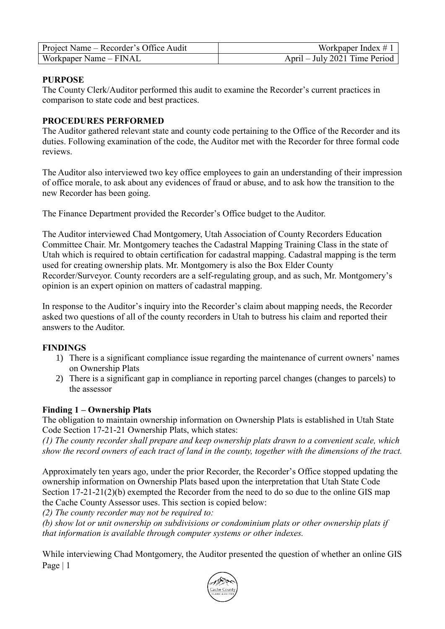| Project Name – Recorder's Office Audit | Workpaper Index $\#$ 1        |
|----------------------------------------|-------------------------------|
| Workpaper Name – FINAL                 | April – July 2021 Time Period |

### **PURPOSE**

The County Clerk/Auditor performed this audit to examine the Recorder's current practices in comparison to state code and best practices.

### **PROCEDURES PERFORMED**

The Auditor gathered relevant state and county code pertaining to the Office of the Recorder and its duties. Following examination of the code, the Auditor met with the Recorder for three formal code reviews.

The Auditor also interviewed two key office employees to gain an understanding of their impression of office morale, to ask about any evidences of fraud or abuse, and to ask how the transition to the new Recorder has been going.

The Finance Department provided the Recorder's Office budget to the Auditor.

The Auditor interviewed Chad Montgomery, Utah Association of County Recorders Education Committee Chair. Mr. Montgomery teaches the Cadastral Mapping Training Class in the state of Utah which is required to obtain certification for cadastral mapping. Cadastral mapping is the term used for creating ownership plats. Mr. Montgomery is also the Box Elder County Recorder/Surveyor. County recorders are a self-regulating group, and as such, Mr. Montgomery's opinion is an expert opinion on matters of cadastral mapping.

In response to the Auditor's inquiry into the Recorder's claim about mapping needs, the Recorder asked two questions of all of the county recorders in Utah to butress his claim and reported their answers to the Auditor.

#### **FINDINGS**

- 1) There is a significant compliance issue regarding the maintenance of current owners' names on Ownership Plats
- 2) There is a significant gap in compliance in reporting parcel changes (changes to parcels) to the assessor

## **Finding 1 – Ownership Plats**

The obligation to maintain ownership information on Ownership Plats is established in Utah State Code Section 17-21-21 Ownership Plats, which states:

*(1) The county recorder shall prepare and keep ownership plats drawn to a convenient scale, which show the record owners of each tract of land in the county, together with the dimensions of the tract.*

Approximately ten years ago, under the prior Recorder, the Recorder's Office stopped updating the ownership information on Ownership Plats based upon the interpretation that Utah State Code Section 17-21-21(2)(b) exempted the Recorder from the need to do so due to the online GIS map the Cache County Assessor uses. This section is copied below:

*(2) The county recorder may not be required to:*

*(b) show lot or unit ownership on subdivisions or condominium plats or other ownership plats if that information is available through computer systems or other indexes.*

Page | 1 While interviewing Chad Montgomery, the Auditor presented the question of whether an online GIS

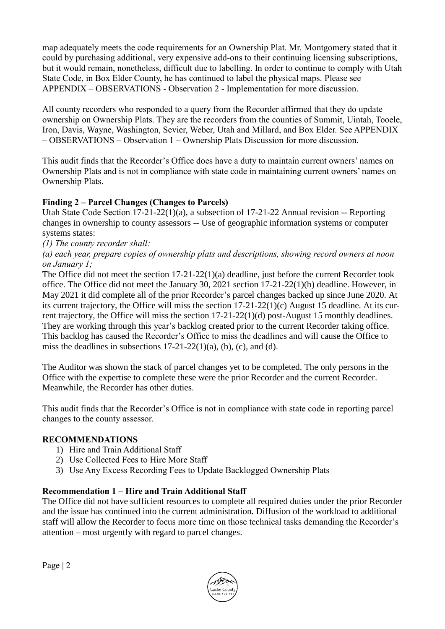map adequately meets the code requirements for an Ownership Plat. Mr. Montgomery stated that it could by purchasing additional, very expensive add-ons to their continuing licensing subscriptions, but it would remain, nonetheless, difficult due to labelling. In order to continue to comply with Utah State Code, in Box Elder County, he has continued to label the physical maps. Please see APPENDIX – OBSERVATIONS - Observation 2 - Implementation for more discussion.

All county recorders who responded to a query from the Recorder affirmed that they do update ownership on Ownership Plats. They are the recorders from the counties of Summit, Uintah, Tooele, Iron, Davis, Wayne, Washington, Sevier, Weber, Utah and Millard, and Box Elder. See APPENDIX – OBSERVATIONS – Observation 1 – Ownership Plats Discussion for more discussion.

This audit finds that the Recorder's Office does have a duty to maintain current owners' names on Ownership Plats and is not in compliance with state code in maintaining current owners' names on Ownership Plats.

# **Finding 2 – Parcel Changes (Changes to Parcels)**

Utah State Code Section 17-21-22(1)(a), a subsection of 17-21-22 Annual revision -- Reporting changes in ownership to county assessors -- Use of geographic information systems or computer systems states:

*(1) The county recorder shall:*

*(a) each year, prepare copies of ownership plats and descriptions, showing record owners at noon on January 1;*

The Office did not meet the section 17-21-22(1)(a) deadline, just before the current Recorder took office. The Office did not meet the January 30, 2021 section 17-21-22(1)(b) deadline. However, in May 2021 it did complete all of the prior Recorder's parcel changes backed up since June 2020. At its current trajectory, the Office will miss the section 17-21-22(1)(c) August 15 deadline. At its current trajectory, the Office will miss the section 17-21-22(1)(d) post-August 15 monthly deadlines. They are working through this year's backlog created prior to the current Recorder taking office. This backlog has caused the Recorder's Office to miss the deadlines and will cause the Office to miss the deadlines in subsections  $17-21-22(1)(a)$ , (b), (c), and (d).

The Auditor was shown the stack of parcel changes yet to be completed. The only persons in the Office with the expertise to complete these were the prior Recorder and the current Recorder. Meanwhile, the Recorder has other duties.

This audit finds that the Recorder's Office is not in compliance with state code in reporting parcel changes to the county assessor.

## **RECOMMENDATIONS**

- 1) Hire and Train Additional Staff
- 2) Use Collected Fees to Hire More Staff
- 3) Use Any Excess Recording Fees to Update Backlogged Ownership Plats

## **Recommendation 1 – Hire and Train Additional Staff**

The Office did not have sufficient resources to complete all required duties under the prior Recorder and the issue has continued into the current administration. Diffusion of the workload to additional staff will allow the Recorder to focus more time on those technical tasks demanding the Recorder's attention – most urgently with regard to parcel changes.

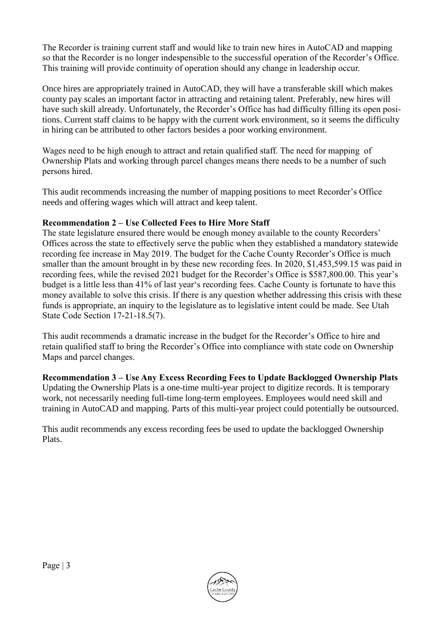The Recorder is training current staff and would like to train new hires in AutoCAD and mapping so that the Recorder is no longer indespensible to the successful operation of the Recorder's Office. This training will provide continuity of operation should any change in leadership occur.

Once hires are appropriately trained in AutoCAD, they will have a transferable skill which makes county pay scales an important factor in attracting and retaining talent. Preferably, new hires will have such skill already. Unfortunately, the Recorder's Office has had difficulty filling its open positions. Current staff claims to be happy with the current work environment, so it seems the difficulty in hiring can be attributed to other factors besides a poor working environment.

Wages need to be high enough to attract and retain qualified staff. The need for mapping of Ownership Plats and working through parcel changes means there needs to be a number of such persons hired.

This audit recommends increasing the number of mapping positions to meet Recorder's Office needs and offering wages which will attract and keep talent.

## **Recommendation 2 – Use Collected Fees to Hire More Staff**

The state legislature ensured there would be enough money available to the county Recorders' Offices across the state to effectively serve the public when they established a mandatory statewide recording fee increase in May 2019. The budget for the Cache County Recorder's Office is much smaller than the amount brought in by these new recording fees. In 2020, \$1,453,599.15 was paid in recording fees, while the revised 2021 budget for the Recorder's Office is \$587,800.00. This year's budget is a little less than 41% of last year's recording fees. Cache County is fortunate to have this money available to solve this crisis. If there is any question whether addressing this crisis with these funds is appropriate, an inquiry to the legislature as to legislative intent could be made. See Utah State Code Section 17-21-18.5(7).

This audit recommends a dramatic increase in the budget for the Recorder's Office to hire and retain qualified staff to bring the Recorder's Office into compliance with state code on Ownership Maps and parcel changes.

#### **Recommendation 3 – Use Any Excess Recording Fees to Update Backlogged Ownership Plats** Updating the Ownership Plats is a one-time multi-year project to digitize records. It is temporary work, not necessarily needing full-time long-term employees. Employees would need skill and training in AutoCAD and mapping. Parts of this multi-year project could potentially be outsourced.

This audit recommends any excess recording fees be used to update the backlogged Ownership Plats.

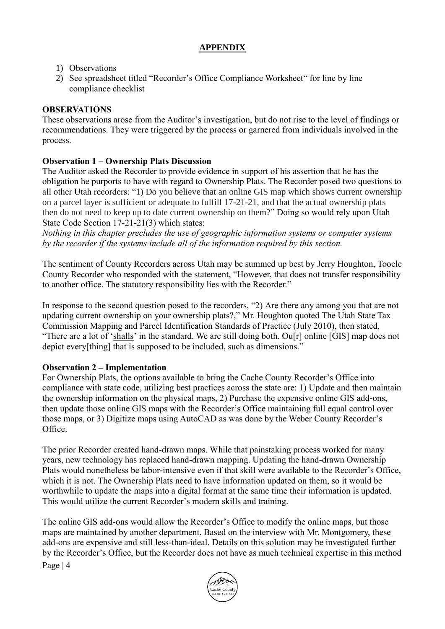## **APPENDIX**

## 1) Observations

2) See spreadsheet titled "Recorder's Office Compliance Worksheet" for line by line compliance checklist

## **OBSERVATIONS**

These observations arose from the Auditor's investigation, but do not rise to the level of findings or recommendations. They were triggered by the process or garnered from individuals involved in the process.

## **Observation 1 – Ownership Plats Discussion**

The Auditor asked the Recorder to provide evidence in support of his assertion that he has the obligation he purports to have with regard to Ownership Plats. The Recorder posed two questions to all other Utah recorders: "1) Do you believe that an online GIS map which shows current ownership on a parcel layer is sufficient or adequate to fulfill 17-21-21, and that the actual ownership plats then do not need to keep up to date current ownership on them?" Doing so would rely upon Utah State Code Section 17-21-21(3) which states:

*Nothing in this chapter precludes the use of geographic information systems or computer systems by the recorder if the systems include all of the information required by this section.*

The sentiment of County Recorders across Utah may be summed up best by Jerry Houghton, Tooele County Recorder who responded with the statement, "However, that does not transfer responsibility to another office. The statutory responsibility lies with the Recorder."

In response to the second question posed to the recorders, "2) Are there any among you that are not updating current ownership on your ownership plats?," Mr. Houghton quoted The Utah State Tax Commission [Mapping and Parcel Identification Standards of Practice \(July 2010\),](https://propertytax.utah.gov/standards/standard08.pdf) then stated, "There are a lot of 'shalls' in the standard. We are still doing both. Ou<sup>[r]</sup> online [GIS] map does not depict every[thing] that is supposed to be included, such as dimensions."

#### **Observation 2 – Implementation**

For Ownership Plats, the options available to bring the Cache County Recorder's Office into compliance with state code, utilizing best practices across the state are: 1) Update and then maintain the ownership information on the physical maps, 2) Purchase the expensive online GIS add-ons, then update those online GIS maps with the Recorder's Office maintaining full equal control over those maps, or 3) Digitize maps using AutoCAD as was done by the Weber County Recorder's Office.

The prior Recorder created hand-drawn maps. While that painstaking process worked for many years, new technology has replaced hand-drawn mapping. Updating the hand-drawn Ownership Plats would nonetheless be labor-intensive even if that skill were available to the Recorder's Office, which it is not. The Ownership Plats need to have information updated on them, so it would be worthwhile to update the maps into a digital format at the same time their information is updated. This would utilize the current Recorder's modern skills and training.

The online GIS add-ons would allow the Recorder's Office to modify the online maps, but those maps are maintained by another department. Based on the interview with Mr. Montgomery, these add-ons are expensive and still less-than-ideal. Details on this solution may be investigated further by the Recorder's Office, but the Recorder does not have as much technical expertise in this method

Page | 4